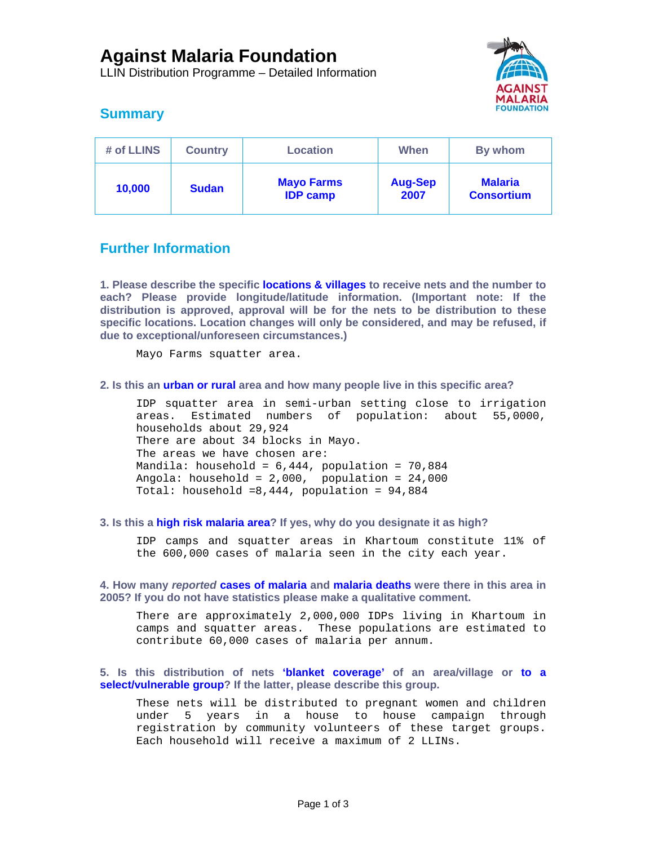LLIN Distribution Programme – Detailed Information



# **Summary**

| # of LLINS | <b>Country</b> | <b>Location</b>                      | When                   | By whom                             |
|------------|----------------|--------------------------------------|------------------------|-------------------------------------|
| 10,000     | <b>Sudan</b>   | <b>Mayo Farms</b><br><b>IDP camp</b> | <b>Aug-Sep</b><br>2007 | <b>Malaria</b><br><b>Consortium</b> |

# **Further Information**

**1. Please describe the specific locations & villages to receive nets and the number to each? Please provide longitude/latitude information. (Important note: If the distribution is approved, approval will be for the nets to be distribution to these specific locations. Location changes will only be considered, and may be refused, if due to exceptional/unforeseen circumstances.)** 

Mayo Farms squatter area.

## **2. Is this an urban or rural area and how many people live in this specific area?**

IDP squatter area in semi-urban setting close to irrigation areas. Estimated numbers of population: about 55,0000, households about 29,924 There are about 34 blocks in Mayo. The areas we have chosen are: Mandila: household =  $6,444$ , population =  $70,884$ Angola: household = 2,000, population = 24,000 Total: household =8,444, population = 94,884

## **3. Is this a high risk malaria area? If yes, why do you designate it as high?**

IDP camps and squatter areas in Khartoum constitute 11% of the 600,000 cases of malaria seen in the city each year.

**4. How many** *reported* **cases of malaria and malaria deaths were there in this area in 2005? If you do not have statistics please make a qualitative comment.** 

There are approximately 2,000,000 IDPs living in Khartoum in camps and squatter areas. These populations are estimated to contribute 60,000 cases of malaria per annum.

**5. Is this distribution of nets 'blanket coverage' of an area/village or to a select/vulnerable group? If the latter, please describe this group.** 

These nets will be distributed to pregnant women and children under 5 years in a house to house campaign through registration by community volunteers of these target groups. Each household will receive a maximum of 2 LLINs.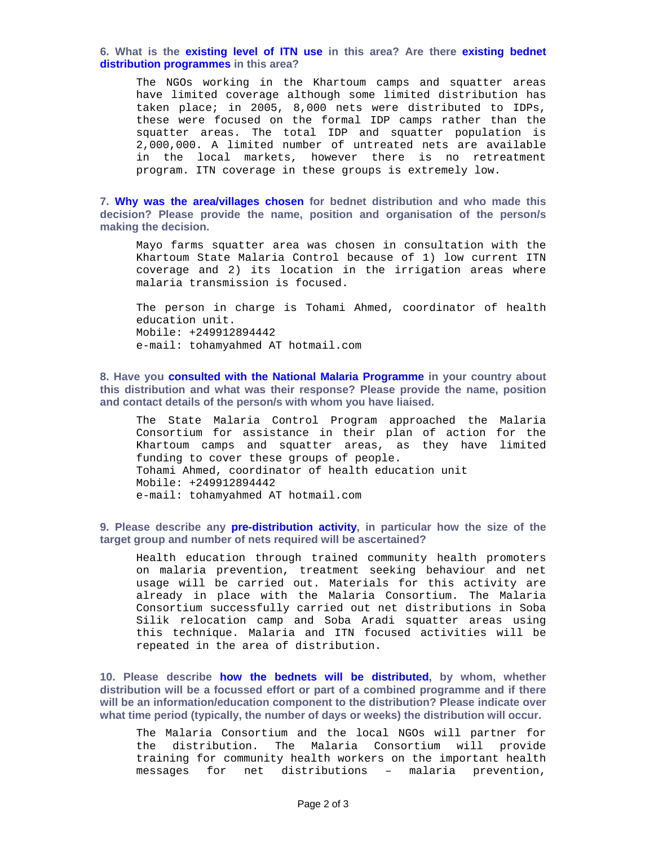### **6. What is the existing level of ITN use in this area? Are there existing bednet distribution programmes in this area?**

The NGOs working in the Khartoum camps and squatter areas have limited coverage although some limited distribution has taken place; in 2005, 8,000 nets were distributed to IDPs, these were focused on the formal IDP camps rather than the squatter areas. The total IDP and squatter population is 2,000,000. A limited number of untreated nets are available in the local markets, however there is no retreatment program. ITN coverage in these groups is extremely low.

**7. Why was the area/villages chosen for bednet distribution and who made this decision? Please provide the name, position and organisation of the person/s making the decision.** 

Mayo farms squatter area was chosen in consultation with the Khartoum State Malaria Control because of 1) low current ITN coverage and 2) its location in the irrigation areas where malaria transmission is focused.

The person in charge is Tohami Ahmed, coordinator of health education unit. Mobile: +249912894442 e-mail: tohamyahmed AT hotmail.com

**8. Have you consulted with the National Malaria Programme in your country about this distribution and what was their response? Please provide the name, position and contact details of the person/s with whom you have liaised.** 

The State Malaria Control Program approached the Malaria Consortium for assistance in their plan of action for the Khartoum camps and squatter areas, as they have limited funding to cover these groups of people. Tohami Ahmed, coordinator of health education unit Mobile: +249912894442 e-mail: tohamyahmed AT hotmail.com

**9. Please describe any pre-distribution activity, in particular how the size of the target group and number of nets required will be ascertained?** 

Health education through trained community health promoters on malaria prevention, treatment seeking behaviour and net usage will be carried out. Materials for this activity are already in place with the Malaria Consortium. The Malaria Consortium successfully carried out net distributions in Soba Silik relocation camp and Soba Aradi squatter areas using this technique. Malaria and ITN focused activities will be repeated in the area of distribution.

**10. Please describe how the bednets will be distributed, by whom, whether distribution will be a focussed effort or part of a combined programme and if there will be an information/education component to the distribution? Please indicate over what time period (typically, the number of days or weeks) the distribution will occur.** 

The Malaria Consortium and the local NGOs will partner for the distribution. The Malaria Consortium will provide training for community health workers on the important health messages for net distributions – malaria prevention,